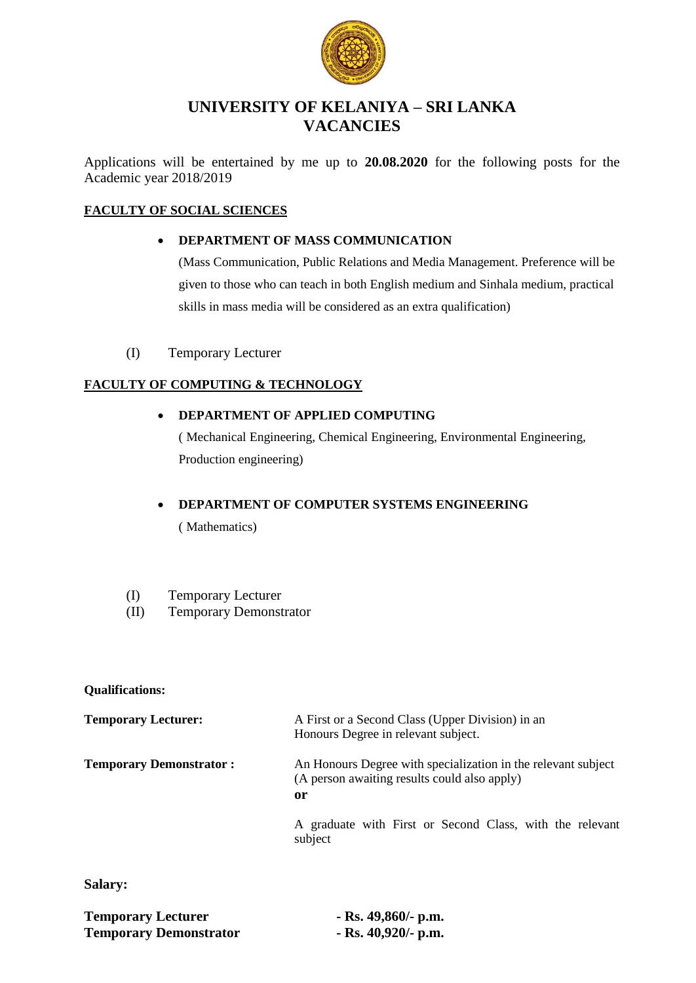

# **UNIVERSITY OF KELANIYA – SRI LANKA VACANCIES**

Applications will be entertained by me up to **20.08.2020** for the following posts for the Academic year 2018/2019

#### **FACULTY OF SOCIAL SCIENCES**

#### **DEPARTMENT OF MASS COMMUNICATION**

(Mass Communication, Public Relations and Media Management. Preference will be given to those who can teach in both English medium and Sinhala medium, practical skills in mass media will be considered as an extra qualification)

(I) Temporary Lecturer

### **FACULTY OF COMPUTING & TECHNOLOGY**

### **DEPARTMENT OF APPLIED COMPUTING**

( Mechanical Engineering, Chemical Engineering, Environmental Engineering, Production engineering)

#### **DEPARTMENT OF COMPUTER SYSTEMS ENGINEERING**

( Mathematics)

- (I) Temporary Lecturer
- (II) Temporary Demonstrator

#### **Qualifications:**

| <b>Temporary Lecturer:</b>     | A First or a Second Class (Upper Division) in an<br>Honours Degree in relevant subject.                             |
|--------------------------------|---------------------------------------------------------------------------------------------------------------------|
| <b>Temporary Demonstrator:</b> | An Honours Degree with specialization in the relevant subject<br>(A person awaiting results could also apply)<br>or |
|                                | A graduate with First or Second Class, with the relevant                                                            |

subject

**Salary:**

| <b>Temporary Lecturer</b>     | $-Rs. 49,860/- p.m.$ |
|-------------------------------|----------------------|
| <b>Temporary Demonstrator</b> | $-Rs. 40,920/- p.m.$ |